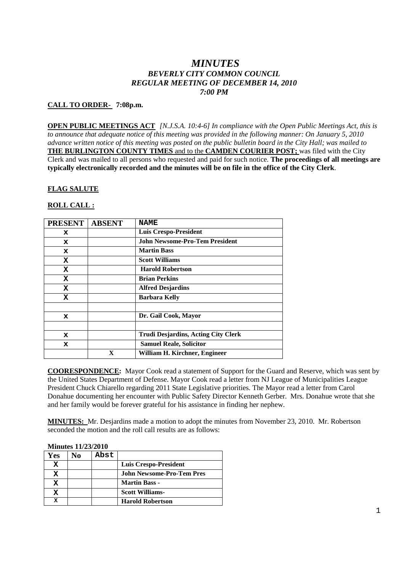# *MINUTES BEVERLY CITY COMMON COUNCIL REGULAR MEETING OF DECEMBER 14, 2010 7:00 PM*

### **CALL TO ORDER- 7:08p.m.**

**OPEN PUBLIC MEETINGS ACT** *[N.J.S.A. 10:4-6] In compliance with the Open Public Meetings Act, this is to announce that adequate notice of this meeting was provided in the following manner: On January 5, 2010 advance written notice of this meeting was posted on the public bulletin board in the City Hall; was mailed to* **THE BURLINGTON COUNTY TIMES** and to the **CAMDEN COURIER POST;** was filed with the City Clerk and was mailed to all persons who requested and paid for such notice. **The proceedings of all meetings are typically electronically recorded and the minutes will be on file in the office of the City Clerk**.

#### **FLAG SALUTE**

#### **ROLL CALL :**

| <b>PRESENT</b> | <b>ABSENT</b> | <b>NAME</b>                                |
|----------------|---------------|--------------------------------------------|
| x              |               | <b>Luis Crespo-President</b>               |
| x              |               | <b>John Newsome-Pro-Tem President</b>      |
| x              |               | <b>Martin Bass</b>                         |
| x              |               | <b>Scott Williams</b>                      |
| X              |               | <b>Harold Robertson</b>                    |
| X              |               | <b>Brian Perkins</b>                       |
| X              |               | <b>Alfred Desjardins</b>                   |
| X              |               | <b>Barbara Kelly</b>                       |
|                |               |                                            |
| x              |               | Dr. Gail Cook, Mayor                       |
|                |               |                                            |
| x              |               | <b>Trudi Desjardins, Acting City Clerk</b> |
| x              |               | <b>Samuel Reale, Solicitor</b>             |
|                | $\mathbf x$   | William H. Kirchner, Engineer              |

**COORESPONDENCE:** Mayor Cook read a statement of Support for the Guard and Reserve, which was sent by the United States Department of Defense. Mayor Cook read a letter from NJ League of Municipalities League President Chuck Chiarello regarding 2011 State Legislative priorities. The Mayor read a letter from Carol Donahue documenting her encounter with Public Safety Director Kenneth Gerber. Mrs. Donahue wrote that she and her family would be forever grateful for his assistance in finding her nephew.

**MINUTES:** Mr. Desjardins made a motion to adopt the minutes from November 23, 2010. Mr. Robertson seconded the motion and the roll call results are as follows:

|            | <b>Minutes 11/23/2010</b> |      |                                  |
|------------|---------------------------|------|----------------------------------|
| <b>Yes</b> | No                        | Abst |                                  |
| x          |                           |      | Luis Crespo-President            |
| х          |                           |      | <b>John Newsome-Pro-Tem Pres</b> |
| x          |                           |      | <b>Martin Bass -</b>             |
| х          |                           |      | <b>Scott Williams-</b>           |
| x          |                           |      | <b>Harold Robertson</b>          |

## **Minutes 11/23/2010**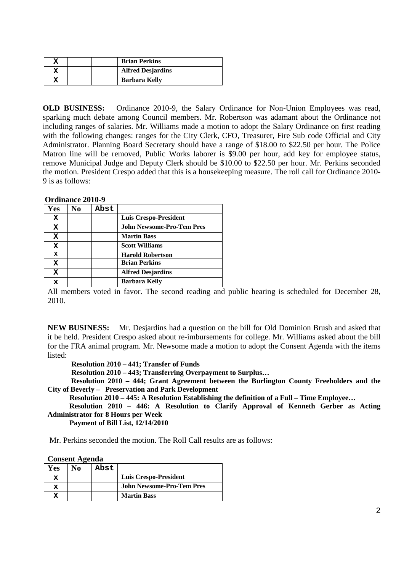|  | <b>Brian Perkins</b>     |
|--|--------------------------|
|  | <b>Alfred Desjardins</b> |
|  | <b>Barbara Kelly</b>     |

**OLD BUSINESS:** Ordinance 2010-9, the Salary Ordinance for Non-Union Employees was read, sparking much debate among Council members. Mr. Robertson was adamant about the Ordinance not including ranges of salaries. Mr. Williams made a motion to adopt the Salary Ordinance on first reading with the following changes: ranges for the City Clerk, CFO, Treasurer, Fire Sub code Official and City Administrator. Planning Board Secretary should have a range of \$18.00 to \$22.50 per hour. The Police Matron line will be removed, Public Works laborer is \$9.00 per hour, add key for employee status, remove Municipal Judge and Deputy Clerk should be \$10.00 to \$22.50 per hour. Mr. Perkins seconded the motion. President Crespo added that this is a housekeeping measure. The roll call for Ordinance 2010- 9 is as follows:

|              | Ordinance 2010-9 |      |                                  |
|--------------|------------------|------|----------------------------------|
| Yes          | No               | Abst |                                  |
| x            |                  |      | <b>Luis Crespo-President</b>     |
| x            |                  |      | <b>John Newsome-Pro-Tem Pres</b> |
| x            |                  |      | <b>Martin Bass</b>               |
| x            |                  |      | <b>Scott Williams</b>            |
| $\mathbf{x}$ |                  |      | <b>Harold Robertson</b>          |
| x            |                  |      | <b>Brian Perkins</b>             |
| X            |                  |      | <b>Alfred Desjardins</b>         |
| x            |                  |      | Barbara Kelly                    |
|              |                  |      |                                  |

All members voted in favor. The second reading and public hearing is scheduled for December 28, 2010.

**NEW BUSINESS:** Mr. Desjardins had a question on the bill for Old Dominion Brush and asked that it be held. President Crespo asked about re-imbursements for college. Mr. Williams asked about the bill for the FRA animal program. Mr. Newsome made a motion to adopt the Consent Agenda with the items listed:

**Resolution 2010 – 441; Transfer of Funds**

**Resolution 2010 – 443; Transferring Overpayment to Surplus…**

**Resolution 2010 – 444; Grant Agreement between the Burlington County Freeholders and the City of Beverly – Preservation and Park Development**

**Resolution 2010 – 445: A Resolution Establishing the definition of a Full – Time Employee…**

**Resolution 2010 – 446: A Resolution to Clarify Approval of Kenneth Gerber as Acting Administrator for 8 Hours per Week**

**Payment of Bill List, 12/14/2010**

Mr. Perkins seconded the motion. The Roll Call results are as follows:

| <b>Consent Agenda</b> |
|-----------------------|
|-----------------------|

**Ordinance 2010-9**

| Yes | NΩ | Abst |                                  |
|-----|----|------|----------------------------------|
| x   |    |      | Luis Crespo-President            |
| x   |    |      | <b>John Newsome-Pro-Tem Pres</b> |
|     |    |      | <b>Martin Bass</b>               |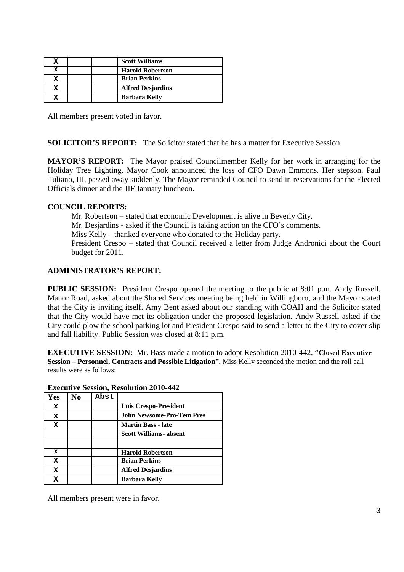|   |  | <b>Scott Williams</b>    |
|---|--|--------------------------|
| x |  | <b>Harold Robertson</b>  |
|   |  | <b>Brian Perkins</b>     |
|   |  | <b>Alfred Desjardins</b> |
|   |  | <b>Barbara Kelly</b>     |

All members present voted in favor.

**SOLICITOR'S REPORT:** The Solicitor stated that he has a matter for Executive Session.

**MAYOR'S REPORT:** The Mayor praised Councilmember Kelly for her work in arranging for the Holiday Tree Lighting. Mayor Cook announced the loss of CFO Dawn Emmons. Her stepson, Paul Tuliano, III, passed away suddenly. The Mayor reminded Council to send in reservations for the Elected Officials dinner and the JIF January luncheon.

# **COUNCIL REPORTS:**

Mr. Robertson – stated that economic Development is alive in Beverly City. Mr. Desjardins - asked if the Council is taking action on the CFO's comments. Miss Kelly – thanked everyone who donated to the Holiday party. President Crespo – stated that Council received a letter from Judge Andronici about the Court budget for 2011.

### **ADMINISTRATOR'S REPORT:**

**PUBLIC SESSION:** President Crespo opened the meeting to the public at 8:01 p.m. Andy Russell, Manor Road, asked about the Shared Services meeting being held in Willingboro, and the Mayor stated that the City is inviting itself. Amy Bent asked about our standing with COAH and the Solicitor stated that the City would have met its obligation under the proposed legislation. Andy Russell asked if the City could plow the school parking lot and President Crespo said to send a letter to the City to cover slip and fall liability. Public Session was closed at 8:11 p.m.

**EXECUTIVE SESSION:** Mr. Bass made a motion to adopt Resolution 2010-442, **"Closed Executive Session – Personnel, Contracts and Possible Litigation".** Miss Kelly seconded the motion and the roll call results were as follows:

| Yes         | No | Abst |                                  |
|-------------|----|------|----------------------------------|
| $\mathbf x$ |    |      | Luis Crespo-President            |
| x           |    |      | <b>John Newsome-Pro-Tem Pres</b> |
| x           |    |      | <b>Martin Bass - late</b>        |
|             |    |      | <b>Scott Williams- absent</b>    |
|             |    |      |                                  |
| x           |    |      | <b>Harold Robertson</b>          |
| $\mathbf x$ |    |      | <b>Brian Perkins</b>             |
| x           |    |      | <b>Alfred Desjardins</b>         |
|             |    |      | <b>Barbara Kelly</b>             |

#### **Executive Session, Resolution 2010-442**

All members present were in favor.